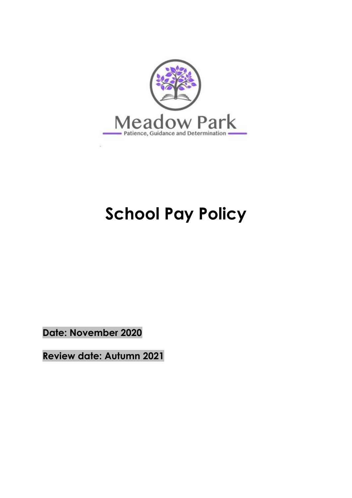

# **School Pay Policy**

**Date: November 2020**

**Review date: Autumn 2021**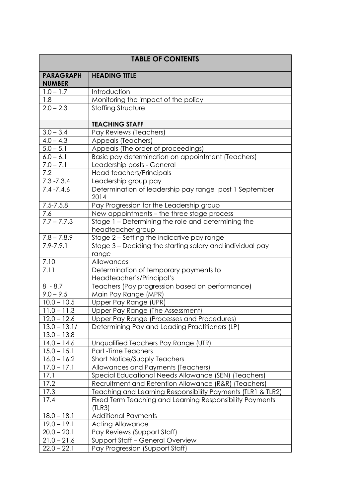| <b>TABLE OF CONTENTS</b>          |                                                                |  |
|-----------------------------------|----------------------------------------------------------------|--|
| <b>PARAGRAPH</b><br><b>NUMBER</b> | <b>HEADING TITLE</b>                                           |  |
| $1.0 - 1.7$                       | Introduction                                                   |  |
| 1.8                               | Monitoring the impact of the policy                            |  |
| $2.0 - 2.3$                       | <b>Staffing Structure</b>                                      |  |
|                                   | <b>TEACHING STAFF</b>                                          |  |
| $3.0 - 3.4$                       | Pay Reviews (Teachers)                                         |  |
| $4.0 - 4.3$                       | Appeals (Teachers)                                             |  |
| $5.0 - 5.1$                       | Appeals (The order of proceedings)                             |  |
| $6.0 - 6.1$                       | Basic pay determination on appointment (Teachers)              |  |
| $7.0 - 7.1$                       | Leadership posts - General                                     |  |
| 7.2                               | <b>Head teachers/Principals</b>                                |  |
| $7.3 - 7.3.4$                     | Leadership group pay                                           |  |
| $7.4 - 7.4.6$                     | Determination of leadership pay range post 1 September<br>2014 |  |
| $7.5 - 7.5.8$                     | Pay Progression for the Leadership group                       |  |
| 7.6                               | New appointments - the three stage process                     |  |
| $7.7 - 7.7.3$                     | Stage 1 - Determining the role and determining the             |  |
|                                   | headteacher group                                              |  |
| $7.8 - 7.8.9$                     | Stage 2 - Setting the indicative pay range                     |  |
| $7.9 - 7.9.1$                     | Stage 3 – Deciding the starting salary and individual pay      |  |
|                                   | range                                                          |  |
| 7.10                              | Allowances                                                     |  |
| 7.11                              | Determination of temporary payments to                         |  |
|                                   | Headteacher's/Principal's                                      |  |
| $8 - 8.7$                         | Teachers (Pay progression based on performance)                |  |
| $9.0 - 9.5$                       | Main Pay Range (MPR)                                           |  |
| $10.0 - 10.5$                     | Upper Pay Range (UPR)                                          |  |
| $11.0 - 11.3$                     | Upper Pay Range (The Assessment)                               |  |
| $12.0 - 12.6$                     | Upper Pay Range (Processes and Procedures)                     |  |
| $13.0 - 13.1/$                    | Determining Pay and Leading Practitioners (LP)                 |  |
| $13.0 - 13.8$                     |                                                                |  |
| $14.0 - 14.6$                     | Unqualified Teachers Pay Range (UTR)                           |  |
| $15.0 - 15.1$                     | <b>Part-Time Teachers</b>                                      |  |
| $16.0 - 16.2$                     | <b>Short Notice/Supply Teachers</b>                            |  |
| $17.0 - 17.1$                     | Allowances and Payments (Teachers)                             |  |
| 17.1                              | Special Educational Needs Allowance (SEN) (Teachers)           |  |
| 17.2                              | Recruitment and Retention Allowance (R&R) (Teachers)           |  |
| 17.3                              | Teaching and Learning Responsibility Payments (TLR1 & TLR2)    |  |
| 17.4                              | Fixed Term Teaching and Learning Responsibility Payments       |  |
|                                   | (TLR3)                                                         |  |
| $18.0 - 18.1$                     | <b>Additional Payments</b>                                     |  |
| $19.0 - 19.1$                     | <b>Acting Allowance</b>                                        |  |
| $20.0 - 20.1$                     | Pay Reviews (Support Staff)                                    |  |
| $21.0 - 21.6$                     | Support Staff - General Overview                               |  |
| $22.0 - 22.1$                     | Pay Progression (Support Staff)                                |  |
|                                   |                                                                |  |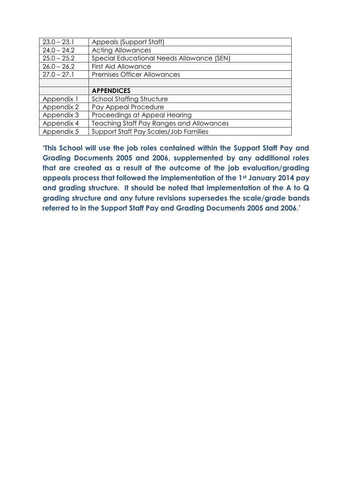| $23.0 - 23.1$ | Appeals (Support Staff)                         |
|---------------|-------------------------------------------------|
| $24.0 - 24.2$ | <b>Acting Allowances</b>                        |
| $25.0 - 25.2$ | Special Educational Needs Allowance (SEN)       |
| $26.0 - 26.2$ | First Aid Allowance                             |
| $27.0 - 27.1$ | <b>Premises Officer Allowances</b>              |
|               |                                                 |
|               | <b>APPENDICES</b>                               |
| Appendix 1    | <b>School Staffing Structure</b>                |
| Appendix 2    | Pay Appeal Procedure                            |
| Appendix 3    | Proceedings at Appeal Hearing                   |
| Appendix 4    | <b>Teaching Staff Pay Ranges and Allowances</b> |
| Appendix 5    | Support Staff Pay Scales/Job Families           |

**'This School will use the job roles contained within the Support Staff Pay and Grading Documents 2005 and 2006, supplemented by any additional roles that are created as a result of the outcome of the job evaluation/grading appeals process that followed the implementation of the 1st January 2014 pay and grading structure. It should be noted that implementation of the A to Q grading structure and any future revisions supersedes the scale/grade bands referred to in the Support Staff Pay and Grading Documents 2005 and 2006.'**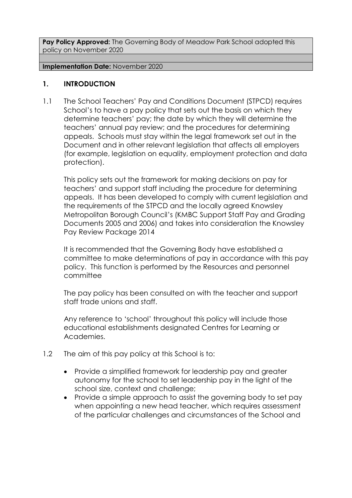Pay Policy Approved: The Governing Body of Meadow Park School adopted this policy on November 2020

**Implementation Date:** November 2020

#### **1. INTRODUCTION**

1.1 The School Teachers' Pay and Conditions Document (STPCD) requires School's to have a pay policy that sets out the basis on which they determine teachers' pay; the date by which they will determine the teachers' annual pay review; and the procedures for determining appeals. Schools must stay within the legal framework set out in the Document and in other relevant legislation that affects all employers (for example, legislation on equality, employment protection and data protection).

This policy sets out the framework for making decisions on pay for teachers' and support staff including the procedure for determining appeals. It has been developed to comply with current legislation and the requirements of the STPCD and the locally agreed Knowsley Metropolitan Borough Council's (KMBC Support Staff Pay and Grading Documents 2005 and 2006) and takes into consideration the Knowsley Pay Review Package 2014

It is recommended that the Governing Body have established a committee to make determinations of pay in accordance with this pay policy. This function is performed by the Resources and personnel committee

The pay policy has been consulted on with the teacher and support staff trade unions and staff.

Any reference to 'school' throughout this policy will include those educational establishments designated Centres for Learning or Academies.

- 1.2 The aim of this pay policy at this School is to:
	- Provide a simplified framework for leadership pay and greater autonomy for the school to set leadership pay in the light of the school size, context and challenge;
	- Provide a simple approach to assist the governing body to set pay when appointing a new head teacher, which requires assessment of the particular challenges and circumstances of the School and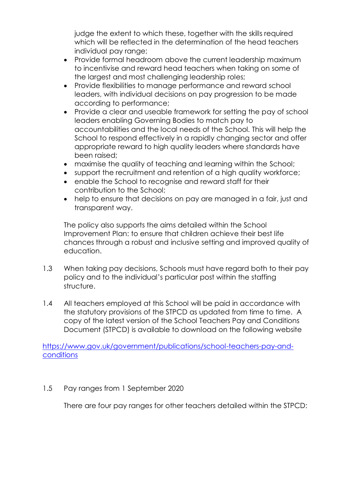judge the extent to which these, together with the skills required which will be reflected in the determination of the head teachers individual pay range;

- Provide formal headroom above the current leadership maximum to incentivise and reward head teachers when taking on some of the largest and most challenging leadership roles;
- Provide flexibilities to manage performance and reward school leaders, with individual decisions on pay progression to be made according to performance;
- Provide a clear and useable framework for setting the pay of school leaders enabling Governing Bodies to match pay to accountabilities and the local needs of the School*.* This will help the School to respond effectively in a rapidly changing sector and offer appropriate reward to high quality leaders where standards have been raised;
- maximise the quality of teaching and learning within the School;
- support the recruitment and retention of a high quality workforce;
- enable the School to recognise and reward staff for their contribution to the School;
- help to ensure that decisions on pay are managed in a fair, just and transparent way.

The policy also supports the aims detailed within the School Improvement Plan: to ensure that children achieve their best life chances through a robust and inclusive setting and improved quality of education.

- 1.3 When taking pay decisions, Schools must have regard both to their pay policy and to the individual's particular post within the staffing structure.
- 1.4 All teachers employed at this School will be paid in accordance with the statutory provisions of the STPCD as updated from time to time. A copy of the latest version of the School Teachers Pay and Conditions Document (STPCD) is available to download on the following website

[https://www.gov.uk/government/publications/school-teachers-pay-and](https://www.gov.uk/government/publications/school-teachers-pay-and-conditions)[conditions](https://www.gov.uk/government/publications/school-teachers-pay-and-conditions)

# 1.5 Pay ranges from 1 September 2020

There are four pay ranges for other teachers detailed within the STPCD: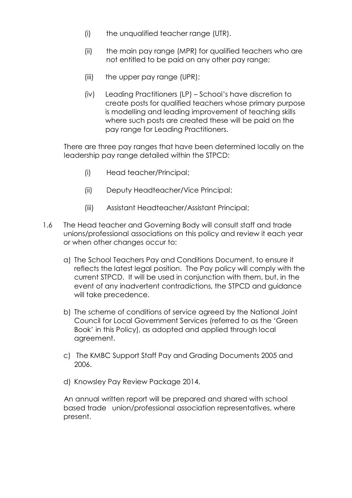- (i) the unqualified teacher range (UTR).
- (ii) the main pay range (MPR) for qualified teachers who are not entitled to be paid on any other pay range;
- (iii) the upper pay range (UPR);
- (iv) Leading Practitioners (LP) School's have discretion to create posts for qualified teachers whose primary purpose is modelling and leading improvement of teaching skills where such posts are created these will be paid on the pay range for Leading Practitioners.

There are three pay ranges that have been determined locally on the leadership pay range detailed within the STPCD:

- (i) Head teacher/Principal;
- (ii) Deputy Headteacher/Vice Principal;
- (iii) Assistant Headteacher/Assistant Principal;
- 1.6 The Head teacher and Governing Body will consult staff and trade unions/professional associations on this policy and review it each year or when other changes occur to:
	- a) The School Teachers Pay and Conditions Document, to ensure it reflects the latest legal position. The Pay policy will comply with the current STPCD. It will be used in conjunction with them, but, in the event of any inadvertent contradictions, the STPCD and guidance will take precedence.
	- b) The scheme of conditions of service agreed by the National Joint Council for Local Government Services (referred to as the 'Green Book' in this Policy), as adopted and applied through local agreement.
	- c) The KMBC Support Staff Pay and Grading Documents 2005 and 2006.
	- d) Knowsley Pay Review Package 2014.

An annual written report will be prepared and shared with school based trade union/professional association representatives, where present.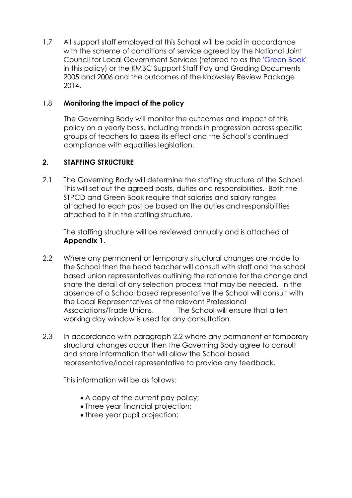1.7 All support staff employed at this School will be paid in accordance with the scheme of conditions of service agreed by the National Joint Council for Local Government Services (referred to as the ['Green Book'](http://bertha.knowsley.gov.uk/Staff_Stuff/Your_job/Documents/NJC%20Green%20Book.pdf) in this policy) or the KMBC Support Staff Pay and Grading Documents 2005 and 2006 and the outcomes of the Knowsley Review Package 2014.

## 1.8 **Monitoring the impact of the policy**

The Governing Body will monitor the outcomes and impact of this policy on a yearly basis, including trends in progression across specific groups of teachers to assess its effect and the School's continued compliance with equalities legislation.

# **2. STAFFING STRUCTURE**

2.1 The Governing Body will determine the staffing structure of the School. This will set out the agreed posts, duties and responsibilities. Both the STPCD and Green Book require that salaries and salary ranges attached to each post be based on the duties and responsibilities attached to it in the staffing structure.

The staffing structure will be reviewed annually and is attached at **Appendix 1**.

- 2.2 Where any permanent or temporary structural changes are made to the School then the head teacher will consult with staff and the school based union representatives outlining the rationale for the change and share the detail of any selection process that may be needed. In the absence of a School based representative the School will consult with the Local Representatives of the relevant Professional Associations/Trade Unions. The School will ensure that a ten working day window is used for any consultation.
- 2.3 In accordance with paragraph 2.2 where any permanent or temporary structural changes occur then the Governing Body agree to consult and share information that will allow the School based representative/local representative to provide any feedback.

This information will be as follows:

- A copy of the current pay policy;
- Three year financial projection;
- three year pupil projection;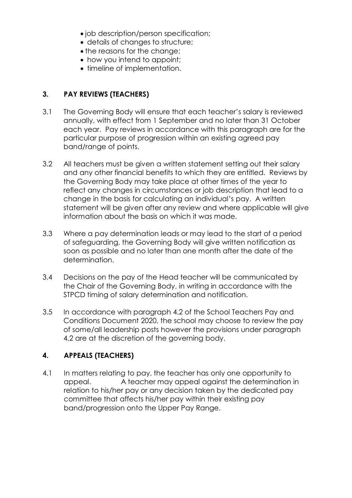- job description/person specification;
- details of changes to structure;
- the reasons for the change;
- how you intend to appoint;
- timeline of implementation.

# **3. PAY REVIEWS (TEACHERS)**

- 3.1 The Governing Body will ensure that each teacher's salary is reviewed annually, with effect from 1 September and no later than 31 October each year. Pay reviews in accordance with this paragraph are for the particular purpose of progression within an existing agreed pay band/range of points.
- 3.2 All teachers must be given a written statement setting out their salary and any other financial benefits to which they are entitled. Reviews by the Governing Body may take place at other times of the year to reflect any changes in circumstances or job description that lead to a change in the basis for calculating an individual's pay. A written statement will be given after any review and where applicable will give information about the basis on which it was made.
- 3.3 Where a pay determination leads or may lead to the start of a period of safeguarding, the Governing Body will give written notification as soon as possible and no later than one month after the date of the determination.
- 3.4 Decisions on the pay of the Head teacher will be communicated by the Chair of the Governing Body, in writing in accordance with the STPCD timing of salary determination and notification.
- 3.5 In accordance with paragraph 4.2 of the School Teachers Pay and Conditions Document 2020, the school may choose to review the pay of some/all leadership posts however the provisions under paragraph 4.2 are at the discretion of the governing body.

# **4. APPEALS (TEACHERS)**

4.1 In matters relating to pay, the teacher has only one opportunity to appeal. A teacher may appeal against the determination in relation to his/her pay or any decision taken by the dedicated pay committee that affects his/her pay within their existing pay band/progression onto the Upper Pay Range.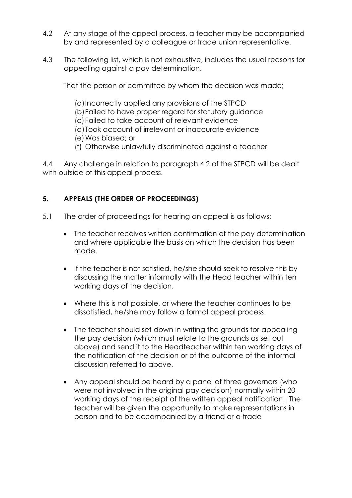- 4.2 At any stage of the appeal process, a teacher may be accompanied by and represented by a colleague or trade union representative.
- 4.3 The following list, which is not exhaustive, includes the usual reasons for appealing against a pay determination.

That the person or committee by whom the decision was made;

(a)Incorrectly applied any provisions of the STPCD

(b)Failed to have proper regard for statutory guidance

(c)Failed to take account of relevant evidence

(d)Took account of irrelevant or inaccurate evidence

- (e)Was biased; or
- (f) Otherwise unlawfully discriminated against a teacher

4.4 Any challenge in relation to paragraph 4.2 of the STPCD will be dealt with outside of this appeal process.

# **5. APPEALS (THE ORDER OF PROCEEDINGS)**

5.1 The order of proceedings for hearing an appeal is as follows:

- The teacher receives written confirmation of the pay determination and where applicable the basis on which the decision has been made.
- If the teacher is not satisfied, he/she should seek to resolve this by discussing the matter informally with the Head teacher within ten working days of the decision.
- Where this is not possible, or where the teacher continues to be dissatisfied, he/she may follow a formal appeal process.
- The teacher should set down in writing the grounds for appealing the pay decision (which must relate to the grounds as set out above) and send it to the Headteacher within ten working days of the notification of the decision or of the outcome of the informal discussion referred to above.
- Any appeal should be heard by a panel of three governors (who were not involved in the original pay decision) normally within 20 working days of the receipt of the written appeal notification. The teacher will be given the opportunity to make representations in person and to be accompanied by a friend or a trade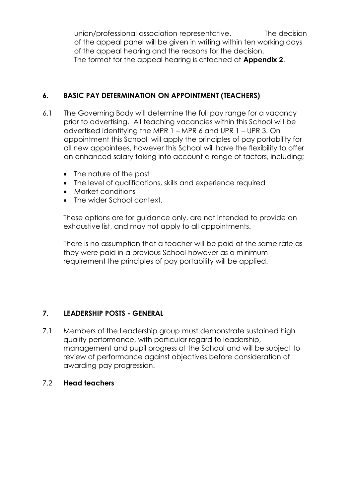union/professional association representative. The decision of the appeal panel will be given in writing within ten working days of the appeal hearing and the reasons for the decision. The format for the appeal hearing is attached at **Appendix 2**.

# **6. BASIC PAY DETERMINATION ON APPOINTMENT (TEACHERS)**

- 6.1 The Governing Body will determine the full pay range for a vacancy prior to advertising. All teaching vacancies within this School will be advertised identifying the MPR 1 – MPR 6 and UPR 1 – UPR 3. On appointment this School will apply the principles of pay portability for all new appointees, however this School will have the flexibility to offer an enhanced salary taking into account a range of factors, including;
	- The nature of the post
	- The level of qualifications, skills and experience required
	- Market conditions
	- The wider School context.

These options are for guidance only, are not intended to provide an exhaustive list, and may not apply to all appointments.

There is no assumption that a teacher will be paid at the same rate as they were paid in a previous School however as a minimum requirement the principles of pay portability will be applied.

# **7. LEADERSHIP POSTS - GENERAL**

7.1 Members of the Leadership group must demonstrate sustained high quality performance, with particular regard to leadership, management and pupil progress at the School and will be subject to review of performance against objectives before consideration of awarding pay progression.

# 7.2 **Head teachers**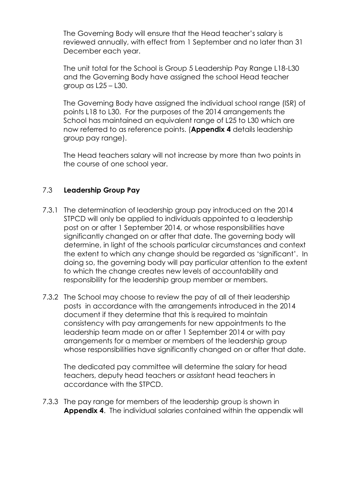The Governing Body will ensure that the Head teacher's salary is reviewed annually, with effect from 1 September and no later than 31 December each year.

The unit total for the School is Group 5 Leadership Pay Range L18-L30 and the Governing Body have assigned the school Head teacher group as  $L25 - L30$ .

The Governing Body have assigned the individual school range (ISR) of points L18 to L30. For the purposes of the 2014 arrangements the School has maintained an equivalent range of L25 to L30 which are now referred to as reference points. (**Appendix 4** details leadership group pay range).

The Head teachers salary will not increase by more than two points in the course of one school year.

# 7.3 **Leadership Group Pay**

- 7.3.1 The determination of leadership group pay introduced on the 2014 STPCD will only be applied to individuals appointed to a leadership post on or after 1 September 2014, or whose responsibilities have significantly changed on or after that date. The governing body will determine, in light of the schools particular circumstances and context the extent to which any change should be regarded as 'significant'. In doing so, the governing body will pay particular attention to the extent to which the change creates new levels of accountability and responsibility for the leadership group member or members.
- 7.3.2 The School may choose to review the pay of all of their leadership posts in accordance with the arrangements introduced in the 2014 document if they determine that this is required to maintain consistency with pay arrangements for new appointments to the leadership team made on or after 1 September 2014 or with pay arrangements for a member or members of the leadership group whose responsibilities have significantly changed on or after that date.

The dedicated pay committee will determine the salary for head teachers, deputy head teachers or assistant head teachers in accordance with the STPCD.

7.3.3 The pay range for members of the leadership group is shown in **Appendix 4**. The individual salaries contained within the appendix will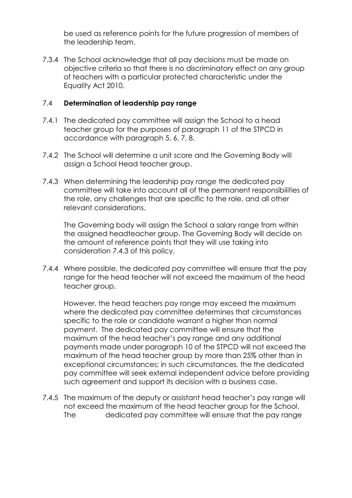be used as reference points for the future progression of members of the leadership team.

7.3.4 The School acknowledge that all pay decisions must be made on objective criteria so that there is no discriminatory effect on any group of teachers with a particular protected characteristic under the Equality Act 2010.

## 7.4 **Determination of leadership pay range**

- 7.4.1 The dedicated pay committee will assign the School to a head teacher group for the purposes of paragraph 11 of the STPCD in accordance with paragraph 5, 6, 7, 8.
- 7.4.2 The School will determine a unit score and the Governing Body will assign a School Head teacher group.
- 7.4.3 When determining the leadership pay *range* the dedicated pay committee will take into account all of the permanent responsibilities of the role, any challenges that are specific to the role, and all other relevant considerations.

The Governing body will assign the School a salary range from within the assigned headteacher group. The Governing Body will decide on the amount of reference points that they will use taking into consideration 7.4.3 of this policy.

7.4.4 Where possible, the dedicated pay committee will ensure that the pay range for the head teacher will not exceed the maximum of the head teacher group.

However, the head teachers pay range may exceed the maximum where the dedicated pay committee determines that circumstances specific to the role or candidate warrant a higher than normal payment. The dedicated pay committee will ensure that the maximum of the head teacher's pay range and any additional payments made under paragraph 10 of the STPCD will not exceed the maximum of the head teacher group by more than 25% other than in exceptional circumstances; in such circumstances, the the dedicated pay committee will seek external independent advice before providing such agreement and support its decision with a business case.

7.4.5 The maximum of the deputy or assistant head teacher's pay range will not exceed the maximum of the head teacher group for the School. The dedicated pay committee will ensure that the pay range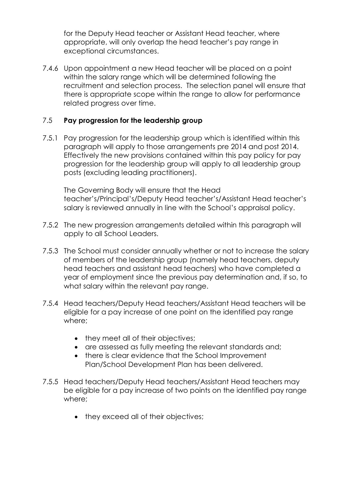for the Deputy Head teacher or Assistant Head teacher, where appropriate, will only overlap the head teacher's pay range in exceptional circumstances.

7.4.6 Upon appointment a new Head teacher will be placed on a point within the salary range which will be determined following the recruitment and selection process. The selection panel will ensure that there is appropriate scope within the range to allow for performance related progress over time.

## 7.5 **Pay progression for the leadership group**

7.5.1 Pay progression for the leadership group which is identified within this paragraph will apply to those arrangements pre 2014 and post 2014. Effectively the new provisions contained within this pay policy for pay progression for the leadership group will apply to all leadership group posts (excluding leading practitioners).

The Governing Body will ensure that the Head teacher's/Principal's/Deputy Head teacher's/Assistant Head teacher's salary is reviewed annually in line with the School's appraisal policy.

- 7.5.2 The new progression arrangements detailed within this paragraph will apply to all School Leaders.
- 7.5.3 The School must consider annually whether or not to increase the salary of members of the leadership group (namely head teachers, deputy head teachers and assistant head teachers) who have completed a year of employment since the previous pay determination and, if so, to what salary within the relevant pay range.
- 7.5.4 Head teachers/Deputy Head teachers/Assistant Head teachers will be eligible for a pay increase of one point on the identified pay range where;
	- they meet all of their objectives;
	- are assessed as fully meeting the relevant standards and;
	- there is clear evidence that the School Improvement Plan/School Development Plan has been delivered.
- 7.5.5 Head teachers/Deputy Head teachers/Assistant Head teachers may be eligible for a pay increase of two points on the identified pay range where;
	- they exceed all of their objectives;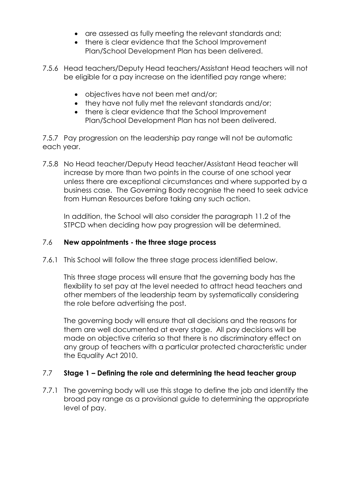- are assessed as fully meeting the relevant standards and;
- there is clear evidence that the School Improvement Plan/School Development Plan has been delivered.
- 7.5.6 Head teachers/Deputy Head teachers/Assistant Head teachers will not be eligible for a pay increase on the identified pay range where;
	- objectives have not been met and/or;
	- they have not fully met the relevant standards and/or;
	- there is clear evidence that the School Improvement Plan/School Development Plan has not been delivered.

7.5.7 Pay progression on the leadership pay range will not be automatic each year.

7.5.8 No Head teacher/Deputy Head teacher/Assistant Head teacher will increase by more than two points in the course of one school year unless there are exceptional circumstances and where supported by a business case. The Governing Body recognise the need to seek advice from Human Resources before taking any such action.

In addition, the School will also consider the paragraph 11.2 of the STPCD when deciding how pay progression will be determined.

#### 7.6 **New appointments - the three stage process**

7.6.1 This School will follow the three stage process identified below.

This three stage process will ensure that the governing body has the flexibility to set pay at the level needed to attract head teachers and other members of the leadership team by systematically considering the role before advertising the post.

The governing body will ensure that all decisions and the reasons for them are well documented at every stage. All pay decisions will be made on objective criteria so that there is no discriminatory effect on any group of teachers with a particular protected characteristic under the Equality Act 2010.

#### 7.7 **Stage 1 – Defining the role and determining the head teacher group**

7.7.1 The governing body will use this stage to define the job and identify the broad pay range as a provisional guide to determining the appropriate level of pay.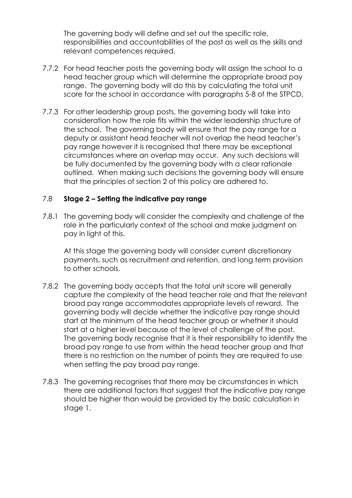The governing body will define and set out the specific role, responsibilities and accountabilities of the post as well as the skills and relevant competences required.

- 7.7.2 For head teacher posts the governing body will assign the school to a head teacher group which will determine the appropriate broad pay range. The governing body will do this by calculating the total unit score for the school in accordance with paragraphs 5-8 of the STPCD.
- 7.7.3 For other leadership group posts, the governing body will take into consideration how the role fits within the wider leadership structure of the school. The governing body will ensure that the pay range for a deputy or assistant head teacher will not overlap the head teacher's pay range however it is recognised that there may be exceptional circumstances where an overlap may occur. Any such decisions will be fully documented by the governing body with a clear rationale outlined. When making such decisions the governing body will ensure that the principles of section 2 of this policy are adhered to.

#### 7.8 **Stage 2 – Setting the indicative pay range**

7.8.1 The governing body will consider the complexity and challenge of the role in the particularly context of the school and make judgment on pay in light of this.

At this stage the governing body will consider current discretionary payments, such as recruitment and retention, and long term provision to other schools.

- 7.8.2 The governing body accepts that the total unit score will generally capture the complexity of the head teacher role and that the relevant broad pay range accommodates appropriate levels of reward. The governing body will decide whether the indicative pay range should start at the minimum of the head teacher group or whether it should start at a higher level because of the level of challenge of the post. The governing body recognise that it is their responsibility to identify the broad pay range to use from within the head teacher group and that there is no restriction on the number of points they are required to use when setting the pay broad pay range.
- 7.8.3 The governing recognises that there may be circumstances in which there are additional factors that suggest that the indicative pay range should be higher than would be provided by the basic calculation in stage 1.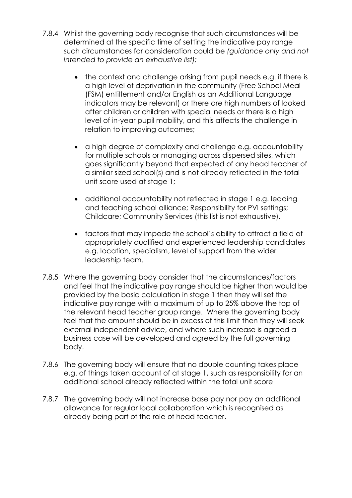- 7.8.4 Whilst the governing body recognise that such circumstances will be determined at the specific time of setting the indicative pay range such circumstances for consideration could be *(guidance only and not intended to provide an exhaustive list);*
	- the context and challenge arising from pupil needs e.g. if there is a high level of deprivation in the community (Free School Meal (FSM) entitlement and/or English as an Additional Language indicators may be relevant) or there are high numbers of looked after children or children with special needs or there is a high level of in-year pupil mobility, and this affects the challenge in relation to improving outcomes;
	- a high degree of complexity and challenge e.g. accountability for multiple schools or managing across dispersed sites, which goes significantly beyond that expected of any head teacher of a similar sized school(s) and is not already reflected in the total unit score used at stage 1;
	- additional accountability not reflected in stage 1 e.g. leading and teaching school alliance; Responsibility for PVI settings; Childcare; Community Services (this list is not exhaustive).
	- factors that may impede the school's ability to attract a field of appropriately qualified and experienced leadership candidates e.g. location, specialism, level of support from the wider leadership team.
- 7.8.5 Where the governing body consider that the circumstances/factors and feel that the indicative pay range should be higher than would be provided by the basic calculation in stage 1 then they will set the indicative pay range with a maximum of up to 25% above the top of the relevant head teacher group range. Where the governing body feel that the amount should be in excess of this limit then they will seek external independent advice, and where such increase is agreed a business case will be developed and agreed by the full governing body.
- 7.8.6 The governing body will ensure that no double counting takes place e.g. of things taken account of at stage 1, such as responsibility for an additional school already reflected within the total unit score
- 7.8.7 The governing body will not increase base pay nor pay an additional allowance for regular local collaboration which is recognised as already being part of the role of head teacher.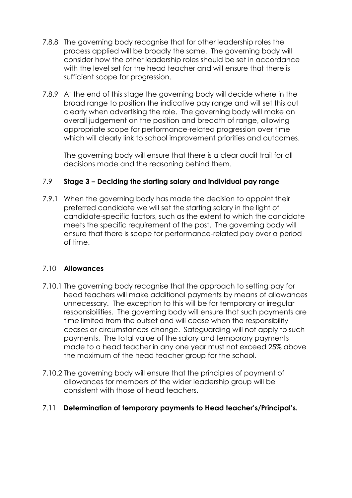- 7.8.8 The governing body recognise that for other leadership roles the process applied will be broadly the same. The governing body will consider how the other leadership roles should be set in accordance with the level set for the head teacher and will ensure that there is sufficient scope for progression.
- 7.8.9 At the end of this stage the governing body will decide where in the broad range to position the indicative pay range and will set this out clearly when advertising the role. The governing body will make an overall judgement on the position and breadth of range, allowing appropriate scope for performance-related progression over time which will clearly link to school improvement priorities and outcomes.

The governing body will ensure that there is a clear audit trail for all decisions made and the reasoning behind them.

# 7.9 **Stage 3 – Deciding the starting salary and individual pay range**

7.9.1 When the governing body has made the decision to appoint their preferred candidate we will set the starting salary in the light of candidate-specific factors, such as the extent to which the candidate meets the specific requirement of the post. The governing body will ensure that there is scope for performance-related pay over a period of time.

#### 7.10 **Allowances**

- 7.10.1 The governing body recognise that the approach to setting pay for head teachers will make additional payments by means of allowances unnecessary. The exception to this will be for temporary or irregular responsibilities. The governing body will ensure that such payments are time limited from the outset and will cease when the responsibility ceases or circumstances change. Safeguarding will not apply to such payments. The total value of the salary and temporary payments made to a head teacher in any one year must not exceed 25% above the maximum of the head teacher group for the school.
- 7.10.2 The governing body will ensure that the principles of payment of allowances for members of the wider leadership group will be consistent with those of head teachers.

#### 7.11 **Determination of temporary payments to Head teacher's/Principal's.**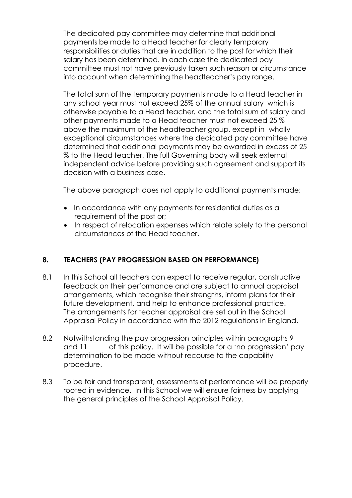The dedicated pay committee may determine that additional payments be made to a Head teacher for clearly temporary responsibilities or duties that are in addition to the post for which their salary has been determined. In each case the dedicated pay committee must not have previously taken such reason or circumstance into account when determining the headteacher's pay range.

The total sum of the temporary payments made to a Head teacher in any school year must not exceed 25% of the annual salary which is otherwise payable to a Head teacher*,* and the total sum of salary and other payments made to a Head teacher must not exceed 25 % above the maximum of the headteacher group, except in wholly exceptional circumstances where the dedicated pay committee have determined that additional payments may be awarded in excess of 25 % to the Head teacher. The full Governing body will seek external independent advice before providing such agreement and support its decision with a business case.

The above paragraph does not apply to additional payments made;

- In accordance with any payments for residential duties as a requirement of the post or;
- In respect of relocation expenses which relate solely to the personal circumstances of the Head teacher.

# **8. TEACHERS (PAY PROGRESSION BASED ON PERFORMANCE)**

- 8.1 In this School all teachers can expect to receive regular, constructive feedback on their performance and are subject to annual appraisal arrangements, which recognise their strengths, inform plans for their future development, and help to enhance professional practice. The arrangements for teacher appraisal are set out in the School Appraisal Policy in accordance with the 2012 regulations in England.
- 8.2 Notwithstanding the pay progression principles within paragraphs 9 and 11 of this policy. It will be possible for a 'no progression' pay determination to be made without recourse to the capability procedure.
- 8.3 To be fair and transparent, assessments of performance will be properly rooted in evidence. In this School we will ensure fairness by applying the general principles of the School Appraisal Policy.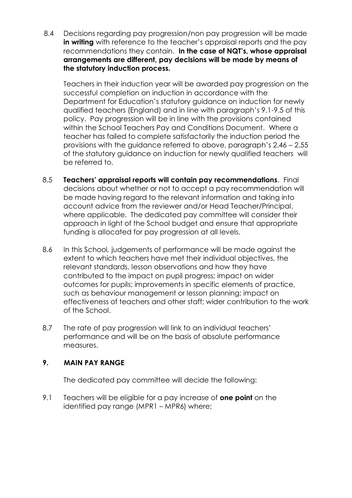8.4 Decisions regarding pay progression/non pay progression will be made **in writing** with reference to the teacher's appraisal reports and the pay recommendations they contain. **In the case of NQT's, whose appraisal arrangements are different, pay decisions will be made by means of the statutory induction process.** 

Teachers in their induction year will be awarded pay progression on the successful completion on induction in accordance with the Department for Education's statutory guidance on induction for newly qualified teachers (England) and in line with paragraph's 9.1-9.5 of this policy. Pay progression will be in line with the provisions contained within the School Teachers Pay and Conditions Document. Where a teacher has failed to complete satisfactorily the induction period the provisions with the guidance referred to above, paragraph's 2.46 – 2.55 of the statutory guidance on induction for newly qualified teachers will be referred to.

- 8.5 **Teachers' appraisal reports will contain pay recommendations**. Final decisions about whether or not to accept a pay recommendation will be made having regard to the relevant information and taking into account advice from the reviewer and/or Head Teacher/Principal, where applicable. The dedicated pay committee will consider their approach in light of the School budget and ensure that appropriate funding is allocated for pay progression at all levels.
- 8.6 In this School*,* judgements of performance will be made against the extent to which teachers have met their individual objectives, the relevant standards, lesson observations and how they have contributed to the impact on pupil progress; impact on wider outcomes for pupils; improvements in specific elements of practice, such as behaviour management or lesson planning; impact on effectiveness of teachers and other staff; wider contribution to the work of the School.
- 8.7 The rate of pay progression will link to an individual teachers' performance and will be on the basis of absolute performance measures.

# **9. MAIN PAY RANGE**

The dedicated pay committee will decide the following:

9.1 Teachers will be eligible for a pay increase of **one point** on the identified pay range (MPR1 – MPR6) where;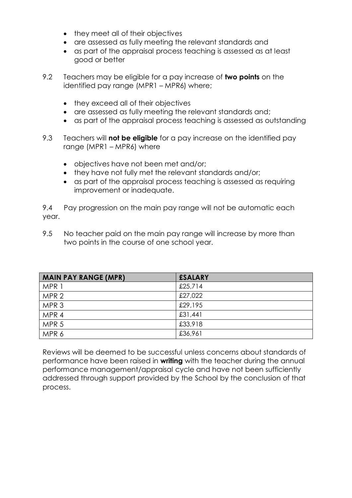- they meet all of their objectives
- are assessed as fully meeting the relevant standards and
- as part of the appraisal process teaching is assessed as at least good or better
- 9.2 Teachers may be eligible for a pay increase of **two points** on the identified pay range (MPR1 – MPR6) where;
	- they exceed all of their objectives
	- are assessed as fully meeting the relevant standards and;
	- as part of the appraisal process teaching is assessed as outstanding
- 9.3 Teachers will **not be eligible** for a pay increase on the identified pay range (MPR1 – MPR6) where
	- objectives have not been met and/or;
	- they have not fully met the relevant standards and/or;
	- as part of the appraisal process teaching is assessed as requiring improvement or inadequate.

9.4 Pay progression on the main pay range will not be automatic each year.

9.5 No teacher paid on the main pay range will increase by more than two points in the course of one school year.

| <b>MAIN PAY RANGE (MPR)</b> | <b>£SALARY</b> |
|-----------------------------|----------------|
| MPR 1                       | £25,714        |
| MPR <sub>2</sub>            | £27,022        |
| MPR <sub>3</sub>            | £29,195        |
| MPR 4                       | £31,441        |
| MPR <sub>5</sub>            | £33,918        |
| MPR 6                       | £36,961        |

Reviews will be deemed to be successful unless concerns about standards of performance have been raised in **writing** with the teacher during the annual performance management/appraisal cycle and have not been sufficiently addressed through support provided by the School by the conclusion of that process.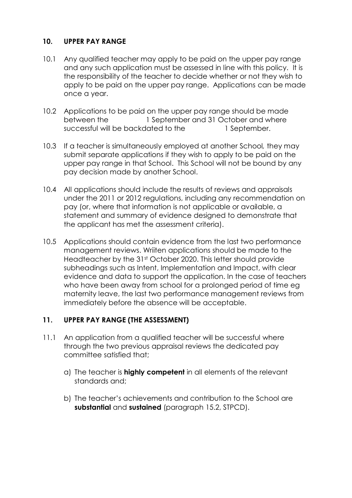## **10. UPPER PAY RANGE**

- 10.1 Any qualified teacher may apply to be paid on the upper pay range and any such application must be assessed in line with this policy. It is the responsibility of the teacher to decide whether or not they wish to apply to be paid on the upper pay range. Applications can be made once a year.
- 10.2 Applications to be paid on the upper pay range should be made between the 1 September and 31 October and where successful will be backdated to the 1 September.
- 10.3 If a teacher is simultaneously employed at another School*,* they may submit separate applications if they wish to apply to be paid on the upper pay range in that School. This School will not be bound by any pay decision made by another School.
- 10.4 All applications should include the results of reviews and appraisals under the 2011 or 2012 regulations, including any recommendation on pay (or, where that information is not applicable or available, a statement and summary of evidence designed to demonstrate that the applicant has met the assessment criteria).
- 10.5 Applications should contain evidence from the last two performance management reviews. Wriiten applications should be made to the Headteacher by the 31st October 2020. This letter should provide subheadings such as Intent, Implementation and Impact, with clear evidence and data to support the application. In the case of teachers who have been away from school for a prolonged period of time eg maternity leave, the last two performance management reviews from immediately before the absence will be acceptable.

# **11. UPPER PAY RANGE (THE ASSESSMENT)**

- 11.1 An application from a qualified teacher will be successful where through the two previous appraisal reviews the dedicated pay committee satisfied that;
	- a) The teacher is **highly competent** in all elements of the relevant standards and;
	- b) The teacher's achievements and contribution to the School are **substantial** and **sustained** (paragraph 15.2, STPCD).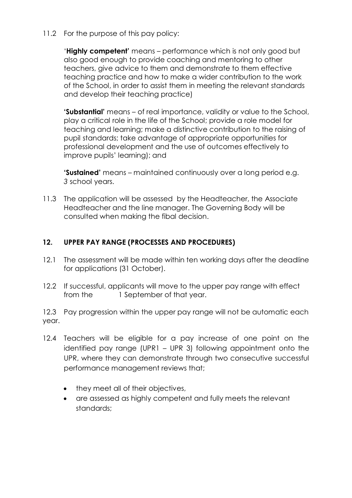11.2 For the purpose of this pay policy:

'**Highly competent'** means – performance which is not only good but also good enough to provide coaching and mentoring to other teachers, give advice to them and demonstrate to them effective teaching practice and how to make a wider contribution to the work of the School, in order to assist them in meeting the relevant standards and develop their teaching practice)

**'Substantial'** means – of real importance, validity or value to the School, play a critical role in the life of the School; provide a role model for teaching and learning; make a distinctive contribution to the raising of pupil standards; take advantage of appropriate opportunities for professional development and the use of outcomes effectively to improve pupils' learning); and

**'Sustained'** means – maintained continuously over a long period e.g. *3* school years.

11.3 The application will be assessed by the Headteacher, the Associate Headteacher and the line manager. The Governing Body will be consulted when making the fibal decision.

# **12. UPPER PAY RANGE (PROCESSES AND PROCEDURES)**

- 12.1 The assessment will be made within ten working days after the deadline for applications (31 October).
- 12.2 If successful, applicants will move to the upper pay range with effect from the 1 September of that year.
- 12.3 Pay progression within the upper pay range will not be automatic each year.
- 12.4 Teachers will be eligible for a pay increase of one point on the identified pay range (UPR1 – UPR 3) following appointment onto the UPR, where they can demonstrate through two consecutive successful performance management reviews that;
	- they meet all of their objectives,
	- are assessed as highly competent and fully meets the relevant standards;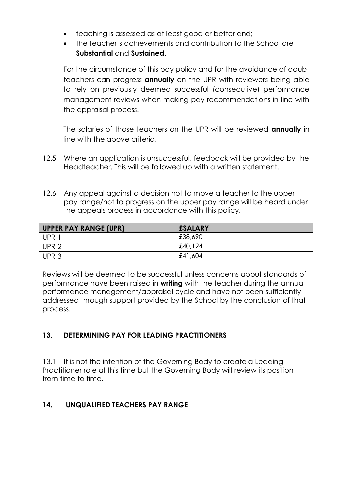- teaching is assessed as at least good or better and;
- the teacher's achievements and contribution to the School are **Substantial** and **Sustained**.

For the circumstance of this pay policy and for the avoidance of doubt teachers can progress **annually** on the UPR with reviewers being able to rely on previously deemed successful (consecutive) performance management reviews when making pay recommendations in line with the appraisal process.

The salaries of those teachers on the UPR will be reviewed **annually** in line with the above criteria.

- 12.5 Where an application is unsuccessful, feedback will be provided by the Headteacher. This will be followed up with a written statement.
- 12.6 Any appeal against a decision not to move a teacher to the upper pay range/not to progress on the upper pay range will be heard under the appeals process in accordance with this policy.

| <b>UPPER PAY RANGE (UPR)</b> | <b>£SALARY</b> |
|------------------------------|----------------|
| UPR <sup>1</sup>             | £38,690        |
| UPR <sub>2</sub>             | £40,124        |
| UPR <sub>3</sub>             | £41,604        |

Reviews will be deemed to be successful unless concerns about standards of performance have been raised in **writing** with the teacher during the annual performance management/appraisal cycle and have not been sufficiently addressed through support provided by the School by the conclusion of that process.

# **13. DETERMINING PAY FOR LEADING PRACTITIONERS**

13.1 It is not the intention of the Governing Body to create a Leading Practitioner role at this time but the Governing Body will review its position from time to time.

# **14. UNQUALIFIED TEACHERS PAY RANGE**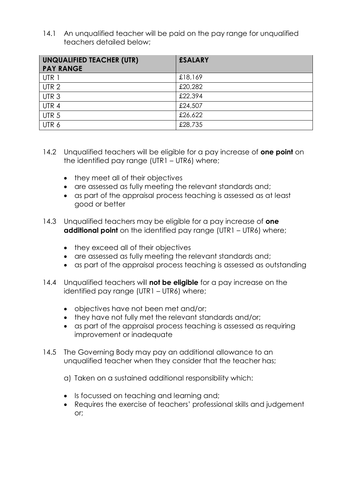14.1 An unqualified teacher will be paid on the pay range for unqualified teachers detailed below;

| <b>UNQUALIFIED TEACHER (UTR)</b><br><b>PAY RANGE</b> | <b>£SALARY</b> |
|------------------------------------------------------|----------------|
| UTR 1                                                | £18,169        |
| UTR <sub>2</sub>                                     | £20,282        |
| UTR <sub>3</sub>                                     | £22,394        |
| UTR 4                                                | £24,507        |
| UTR <sub>5</sub>                                     | £26,622        |
| UTR 6                                                | £28,735        |

- 14.2 Unqualified teachers will be eligible for a pay increase of **one point** on the identified pay range (UTR1 – UTR6) where;
	- they meet all of their objectives
	- are assessed as fully meeting the relevant standards and;
	- as part of the appraisal process teaching is assessed as at least good or better
- 14.3 Unqualified teachers may be eligible for a pay increase of **one additional point** on the identified pay range (UTR1 – UTR6) where;
	- they exceed all of their objectives
	- are assessed as fully meeting the relevant standards and;
	- as part of the appraisal process teaching is assessed as outstanding
- 14.4 Unqualified teachers will **not be eligible** for a pay increase on the identified pay range (UTR1 – UTR6) where;
	- objectives have not been met and/or;
	- they have not fully met the relevant standards and/or;
	- as part of the appraisal process teaching is assessed as requiring improvement or inadequate
- 14.5 The Governing Body may pay an additional allowance to an unqualified teacher when they consider that the teacher has;
	- a) Taken on a sustained additional responsibility which:
	- Is focussed on teaching and learning and;
	- Requires the exercise of teachers' professional skills and judgement or;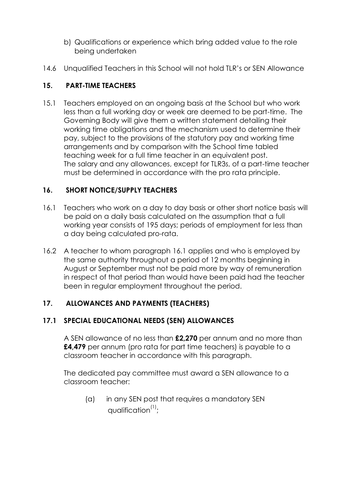- b) Qualifications or experience which bring added value to the role being undertaken
- 14.6 Unqualified Teachers in this School will not hold TLR's or SEN Allowance

# **15. PART-TIME TEACHERS**

15.1 Teachers employed on an ongoing basis at the School but who work less than a full working day or week are deemed to be part-time. The Governing Body will give them a written statement detailing their working time obligations and the mechanism used to determine their pay, subject to the provisions of the statutory pay and working time arrangements and by comparison with the School time tabled teaching week for a full time teacher in an equivalent post. The salary and any allowances, except for TLR3s, of a part-time teacher must be determined in accordance with the pro rata principle.

# **16. SHORT NOTICE/SUPPLY TEACHERS**

- 16.1 Teachers who work on a day to day basis or other short notice basis will be paid on a daily basis calculated on the assumption that a full working year consists of 195 days; periods of employment for less than a day being calculated pro-rata.
- 16.2 A teacher to whom paragraph 16.1 applies and who is employed by the same authority throughout a period of 12 months beginning in August or September must not be paid more by way of remuneration in respect of that period than would have been paid had the teacher been in regular employment throughout the period.

# **17. ALLOWANCES AND PAYMENTS (TEACHERS)**

# **17.1 SPECIAL EDUCATIONAL NEEDS (SEN) ALLOWANCES**

A SEN allowance of no less than **£2,270** per annum and no more than **£4,479** per annum (pro rata for part time teachers) is payable to a classroom teacher in accordance with this paragraph.

The dedicated pay committee must award a SEN allowance to a classroom teacher:

(a) in any SEN post that requires a mandatory SEN qualification<sup>(1)</sup>;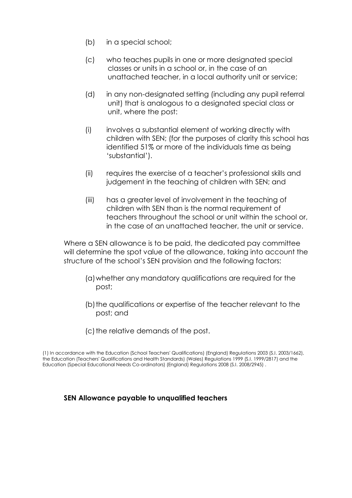- (b) in a special school;
- (c) who teaches pupils in one or more designated special classes or units in a school or, in the case of an unattached teacher, in a local authority unit or service;
- (d) in any non-designated setting (including any pupil referral unit) that is analogous to a designated special class or unit, where the post:
- (i) involves a substantial element of working directly with children with SEN; (for the purposes of clarity this school has identified 51% or more of the individuals time as being 'substantial').
- (ii) requires the exercise of a teacher's professional skills and judgement in the teaching of children with SEN; and
- (iii) has a greater level of involvement in the teaching of children with SEN than is the normal requirement of teachers throughout the school or unit within the school or, in the case of an unattached teacher, the unit or service.

Where a SEN allowance is to be paid, the dedicated pay committee will determine the spot value of the allowance, taking into account the structure of the school's SEN provision and the following factors:

- (a)whether any mandatory qualifications are required for the post;
- (b) the qualifications or expertise of the teacher relevant to the post; and
- (c) the relative demands of the post.

(1) In accordance with the Education (School Teachers' Qualifications) (England) Regulations 2003 (S.I. 2003/1662), the Education (Teachers' Qualifications and Health Standards) (Wales) Regulations 1999 (S.I. 1999/2817) and the Education (Special Educational Needs Co-ordinators) (England) Regulations 2008 (S.I. 2008/2945) .

#### **SEN Allowance payable to unqualified teachers**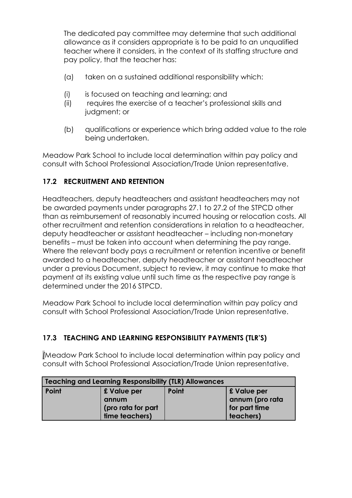The dedicated pay committee may determine that such additional allowance as it considers appropriate is to be paid to an unqualified teacher where it considers, in the context of its staffing structure and pay policy, that the teacher has:

- (a) taken on a sustained additional responsibility which:
- (i) is focused on teaching and learning; and
- (ii) requires the exercise of a teacher's professional skills and judgment; or
- (b) qualifications or experience which bring added value to the role being undertaken.

Meadow Park School to include local determination within pay policy and consult with School Professional Association/Trade Union representative.

# **17.2 RECRUITMENT AND RETENTION**

Headteachers, deputy headteachers and assistant headteachers may not be awarded payments under paragraphs 27.1 to 27.2 of the STPCD other than as reimbursement of reasonably incurred housing or relocation costs. All other recruitment and retention considerations in relation to a headteacher, deputy headteacher or assistant headteacher – including non-monetary benefits – must be taken into account when determining the pay range. Where the relevant body pays a recruitment or retention incentive or benefit awarded to a headteacher, deputy headteacher or assistant headteacher under a previous Document, subject to review, it may continue to make that payment at its existing value until such time as the respective pay range is determined under the 2016 STPCD.

Meadow Park School to include local determination within pay policy and consult with School Professional Association/Trade Union representative.

# **17.3 TEACHING AND LEARNING RESPONSIBILITY PAYMENTS (TLR'S)**

*[*Meadow Park School to include local determination within pay policy and consult with School Professional Association/Trade Union representative.

| <b>Teaching and Learning Responsibility (TLR) Allowances</b> |                    |       |                 |
|--------------------------------------------------------------|--------------------|-------|-----------------|
| Point                                                        | £ Value per        | Point | £ Value per     |
|                                                              | annum              |       | annum (pro rata |
|                                                              | (pro rata for part |       | for part time   |
|                                                              | time teachers)     |       | teachers)       |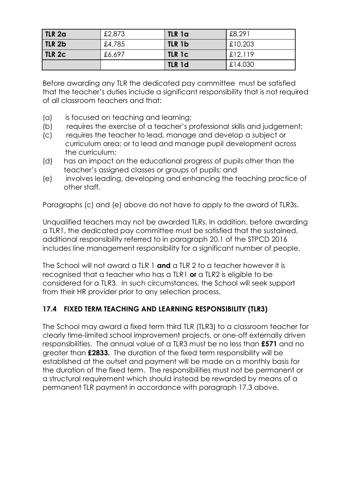| TLR 2a | £2,873 | TLR 1a | £8,291  |
|--------|--------|--------|---------|
| TLR 2b | £4,785 | TLR 1b | £10,203 |
| TLR 2c | £6,697 | TLR 1c | £12,119 |
|        |        | TLR 1d | £14,030 |

Before awarding any TLR the dedicated pay committee must be satisfied that the teacher's duties include a significant responsibility that is not required of all classroom teachers and that:

- (a) is focused on teaching and learning;
- (b) requires the exercise of a teacher's professional skills and judgement;
- (c) requires the teacher to lead, manage and develop a subject or curriculum area; or to lead and manage pupil development across the curriculum;
- (d) has an impact on the educational progress of pupils other than the teacher's assigned classes or groups of pupils; and
- (e) involves leading, developing and enhancing the teaching practice of other staff.

Paragraphs (c) and (e) above do not have to apply to the award of TLR3s.

Unqualified teachers may not be awarded TLRs. In addition, before awarding a TLR1, the dedicated pay committee must be satisfied that the sustained, additional responsibility referred to in paragraph 20.1 of the STPCD 2016 includes line management responsibility for a significant number of people.

The School will not award a TLR 1 **and** a TLR 2 to a teacher however it is recognised that a teacher who has a TLR1 **or** a TLR2 is eligible to be considered for a TLR3. In such circumstances, the School will seek support from their HR provider prior to any selection process.

# **17.4 FIXED TERM TEACHING AND LEARNING RESPONSIBILITY (TLR3)**

The School may award a fixed term third TLR (TLR3) to a classroom teacher for clearly time-limited school improvement projects, or one-off externally driven responsibilities. The annual value of a TLR3 must be no less than **£571** and no greater than **£2833.** The duration of the fixed term responsibility will be established at the outset and payment will be made on a monthly basis for the duration of the fixed term. The responsibilities must not be permanent or a structural requirement which should instead be rewarded by means of a permanent TLR payment in accordance with paragraph 17.3 above.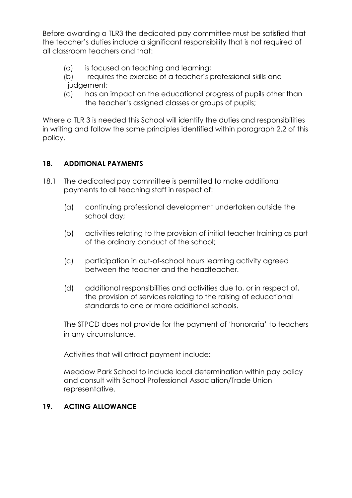Before awarding a TLR3 the dedicated pay committee must be satisfied that the teacher's duties include a significant responsibility that is not required of all classroom teachers and that:

- (a) is focused on teaching and learning;
- (b) requires the exercise of a teacher's professional skills and judgement;
- (c) has an impact on the educational progress of pupils other than the teacher's assigned classes or groups of pupils;

Where a TLR 3 is needed this School will identify the duties and responsibilities in writing and follow the same principles identified within paragraph 2.2 of this policy.

# **18. ADDITIONAL PAYMENTS**

- 18.1 The dedicated pay committee is permitted to make additional payments to all teaching staff in respect of:
	- (a) continuing professional development undertaken outside the school day;
	- (b) activities relating to the provision of initial teacher training as part of the ordinary conduct of the school;
	- (c) participation in out-of-school hours learning activity agreed between the teacher and the headteacher.
	- (d) additional responsibilities and activities due to, or in respect of, the provision of services relating to the raising of educational standards to one or more additional schools.

The STPCD does not provide for the payment of 'honoraria' to teachers in any circumstance.

Activities that will attract payment include:

Meadow Park School to include local determination within pay policy and consult with School Professional Association/Trade Union representative.

# **19. ACTING ALLOWANCE**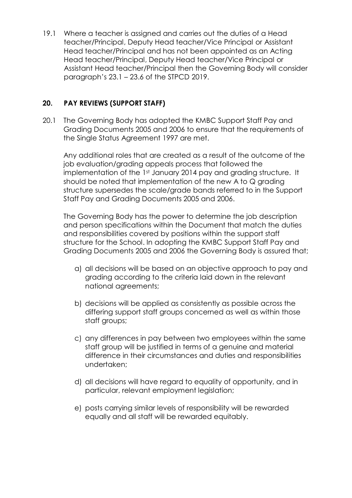19.1 Where a teacher is assigned and carries out the duties of a Head teacher/Principal, Deputy Head teacher/Vice Principal or Assistant Head teacher/Principal and has not been appointed as an Acting Head teacher/Principal, Deputy Head teacher/Vice Principal or Assistant Head teacher/Principal then the Governing Body will consider paragraph's 23.1 – 23.6 of the STPCD 2019.

## **20. PAY REVIEWS (SUPPORT STAFF)**

20.1 The Governing Body has adopted the KMBC Support Staff Pay and Grading Documents 2005 and 2006 to ensure that the requirements of the Single Status Agreement 1997 are met.

Any additional roles that are created as a result of the outcome of the job evaluation/grading appeals process that followed the implementation of the 1st January 2014 pay and grading structure. It should be noted that implementation of the new A to Q grading structure supersedes the scale/grade bands referred to in the Support Staff Pay and Grading Documents 2005 and 2006.

The Governing Body has the power to determine the job description and person specifications within the Document that match the duties and responsibilities covered by positions within the support staff structure for the School. In adopting the KMBC Support Staff Pay and Grading Documents 2005 and 2006 the Governing Body is assured that;

- a) all decisions will be based on an objective approach to pay and grading according to the criteria laid down in the relevant national agreements;
- b) decisions will be applied as consistently as possible across the differing support staff groups concerned as well as within those staff groups;
- c) any differences in pay between two employees within the same staff group will be justified in terms of a genuine and material difference in their circumstances and duties and responsibilities undertaken;
- d) all decisions will have regard to equality of opportunity, and in particular, relevant employment legislation;
- e) posts carrying similar levels of responsibility will be rewarded equally and all staff will be rewarded equitably.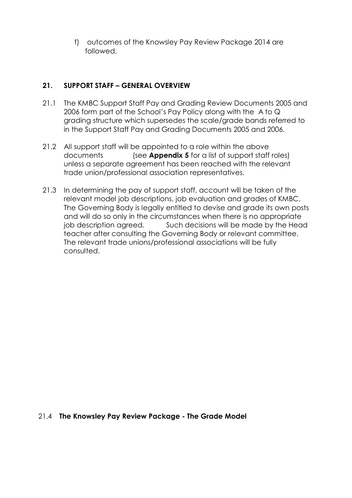f) outcomes of the Knowsley Pay Review Package 2014 are followed.

## **21. SUPPORT STAFF – GENERAL OVERVIEW**

- 21.1 The KMBC Support Staff Pay and Grading Review Documents 2005 and 2006 form part of the School's Pay Policy along with the A to Q grading structure which supersedes the scale/grade bands referred to in the Support Staff Pay and Grading Documents 2005 and 2006.
- 21.2 All support staff will be appointed to a role within the above documents (see **Appendix 5** for a list of support staff roles) unless a separate agreement has been reached with the relevant trade union/professional association representatives.
- 21.3 In determining the pay of support staff, account will be taken of the relevant model job descriptions, job evaluation and grades of KMBC. The Governing Body is legally entitled to devise and grade its own posts and will do so only in the circumstances when there is no appropriate job description agreed. Such decisions will be made by the Head teacher after consulting the Governing Body or relevant committee. The relevant trade unions/professional associations will be fully consulted.

21.4 **The Knowsley Pay Review Package - The Grade Model**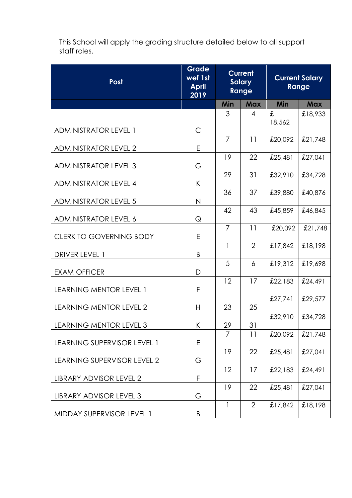This School will apply the grading structure detailed below to all support staff roles.

| Post                           | Grade<br>wef 1st<br><b>April</b><br>2019 | <b>Current</b><br><b>Salary</b><br>Range |                | <b>Current Salary</b><br>Range |            |
|--------------------------------|------------------------------------------|------------------------------------------|----------------|--------------------------------|------------|
|                                |                                          | Min                                      | <b>Max</b>     | Min                            | <b>Max</b> |
| <b>ADMINISTRATOR LEVEL 1</b>   | C                                        | 3                                        | 4              | £<br>18,562                    | £18,933    |
| <b>ADMINISTRATOR LEVEL 2</b>   | E                                        | 7                                        | 11             | £20,092                        | £21,748    |
| <b>ADMINISTRATOR LEVEL 3</b>   | G                                        | 19                                       | 22             | £25,481                        | £27,041    |
| <b>ADMINISTRATOR LEVEL 4</b>   | K.                                       | 29                                       | 31             | £32,910                        | £34,728    |
| <b>ADMINISTRATOR LEVEL 5</b>   | $\mathsf{N}$                             | 36                                       | 37             | £39,880                        | £40,876    |
| <b>ADMINISTRATOR LEVEL 6</b>   | Q                                        | 42                                       | 43             | £45,859                        | £46,845    |
| <b>CLERK TO GOVERNING BODY</b> | E                                        | $\overline{7}$                           | 11             | £20,092                        | £21,748    |
| DRIVER LEVEL 1                 | B                                        | 1                                        | $\overline{2}$ | £17,842                        | £18,198    |
| <b>EXAM OFFICER</b>            | D                                        | 5                                        | 6              | £19,312                        | £19,698    |
| LEARNING MENTOR LEVEL 1        | F                                        | 12                                       | 17             | £22,183                        | £24,491    |
| <b>LEARNING MENTOR LEVEL 2</b> | Н                                        | 23                                       | 25             | £27,741                        | £29,577    |
| LEARNING MENTOR LEVEL 3        | K                                        | 29                                       | 31             | £32,910                        | £34,728    |
| LEARNING SUPERVISOR LEVEL 1    | E                                        | 7                                        | 11             | £20,092                        | £21,748    |
| LEARNING SUPERVISOR LEVEL 2    | G                                        | 19                                       | 22             | £25,481                        | £27,041    |
| LIBRARY ADVISOR LEVEL 2        | F                                        | 12                                       | 17             | £22,183                        | £24,491    |
| LIBRARY ADVISOR LEVEL 3        | G                                        | 19                                       | 22             | £25,481                        | £27,041    |
| MIDDAY SUPERVISOR LEVEL 1      | B                                        | $\mathbf{1}$                             | $\overline{2}$ | £17,842                        | £18,198    |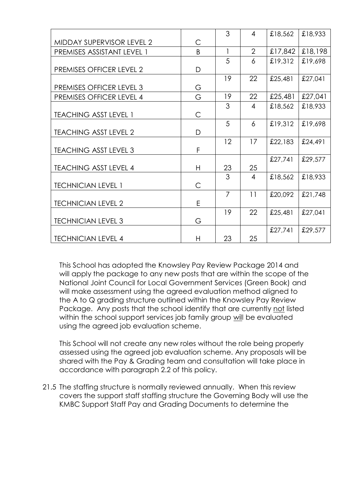|                                  |              | 3              | $\overline{4}$ | £18,562 | £18,933 |
|----------------------------------|--------------|----------------|----------------|---------|---------|
| <b>MIDDAY SUPERVISOR LEVEL 2</b> | C            |                |                |         |         |
| PREMISES ASSISTANT LEVEL 1       | <sub>B</sub> | 1              | $\overline{2}$ | £17,842 | £18,198 |
|                                  |              | 5              | 6              | £19,312 | £19,698 |
| <b>PREMISES OFFICER LEVEL 2</b>  | D            |                |                |         |         |
|                                  |              | 19             | 22             | £25,481 | £27,041 |
| <b>PREMISES OFFICER LEVEL 3</b>  | G            |                |                |         |         |
| PREMISES OFFICER LEVEL 4         | G            | 19             | 22             | £25,481 | £27,041 |
|                                  |              | 3              | $\overline{4}$ | £18,562 | £18,933 |
| <b>TEACHING ASST LEVEL 1</b>     | C            |                |                |         |         |
|                                  |              | 5              | 6              | £19,312 | £19,698 |
| <b>TEACHING ASST LEVEL 2</b>     | D            |                |                |         |         |
|                                  |              | 12             | 17             | £22,183 | £24,491 |
| <b>TEACHING ASST LEVEL 3</b>     | F            |                |                |         |         |
|                                  |              |                |                | £27,741 | £29,577 |
| <b>TEACHING ASST LEVEL 4</b>     | H.           | 23             | 25             |         |         |
|                                  |              | 3              | $\overline{4}$ | £18,562 | £18,933 |
| <b>TECHNICIAN LEVEL 1</b>        | C            |                |                |         |         |
|                                  |              | $\overline{7}$ | 11             | £20,092 | £21,748 |
| <b>TECHNICIAN LEVEL 2</b>        | E            |                |                |         |         |
|                                  |              | 19             | 22             | £25,481 | £27,041 |
| <b>TECHNICIAN LEVEL 3</b>        | G            |                |                |         |         |
|                                  |              |                |                | £27,741 | £29,577 |
| <b>TECHNICIAN LEVEL 4</b>        | H            | 23             | 25             |         |         |

This School has adopted the Knowsley Pay Review Package 2014 and will apply the package to any new posts that are within the scope of the National Joint Council for Local Government Services (Green Book) and will make assessment using the agreed evaluation method aligned to the A to Q grading structure outlined within the Knowsley Pay Review Package. Any posts that the school identify that are currently not listed within the school support services job family group will be evaluated using the agreed job evaluation scheme.

This School will not create any new roles without the role being properly assessed using the agreed job evaluation scheme. Any proposals will be shared with the Pay & Grading team and consultation will take place in accordance with paragraph 2.2 of this policy.

21.5 The staffing structure is normally reviewed annually. When this review covers the support staff staffing structure the Governing Body will use the KMBC Support Staff Pay and Grading Documents to determine the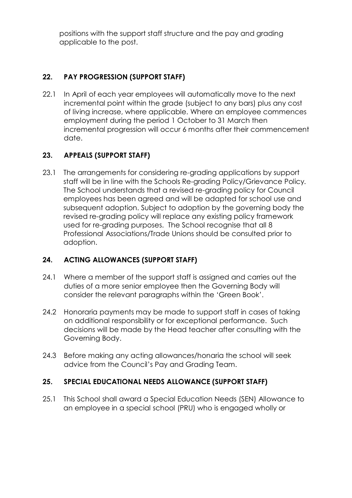positions with the support staff structure and the pay and grading applicable to the post.

# **22. PAY PROGRESSION (SUPPORT STAFF)**

22.1 In April of each year employees will automatically move to the next incremental point within the grade (subject to any bars) plus any cost of living increase, where applicable. Where an employee commences employment during the period 1 October to 31 March then incremental progression will occur 6 months after their commencement date.

# **23. APPEALS (SUPPORT STAFF)**

23.1 The arrangements for considering re-grading applications by support staff will be in line with the Schools Re-grading Policy/Grievance Policy*.* The School understands that a revised re-grading policy for Council employees has been agreed and will be adapted for school use and subsequent adoption. Subject to adoption by the governing body the revised re-grading policy will replace any existing policy framework used for re-grading purposes. The School recognise that all 8 Professional Associations/Trade Unions should be consulted prior to adoption.

# **24. ACTING ALLOWANCES (SUPPORT STAFF)**

- 24.1 Where a member of the support staff is assigned and carries out the duties of a more senior employee then the Governing Body will consider the relevant paragraphs within the 'Green Book'.
- 24.2 Honoraria payments may be made to support staff in cases of taking on additional responsibility or for exceptional performance. Such decisions will be made by the Head teacher after consulting with the Governing Body.
- 24.3 Before making any acting allowances/honaria the school will seek advice from the Council's Pay and Grading Team.

# **25. SPECIAL EDUCATIONAL NEEDS ALLOWANCE (SUPPORT STAFF)**

25.1 This School shall award a Special Education Needs (SEN) Allowance to an employee in a special school (PRU) who is engaged wholly or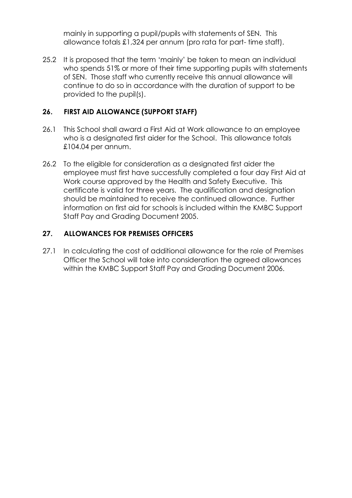mainly in supporting a pupil/pupils with statements of SEN. This allowance totals £1,324 per annum (pro rata for part- time staff).

25.2 It is proposed that the term 'mainly' be taken to mean an individual who spends 51% or more of their time supporting pupils with statements of SEN. Those staff who currently receive this annual allowance will continue to do so in accordance with the duration of support to be provided to the pupil(s).

## **26. FIRST AID ALLOWANCE (SUPPORT STAFF)**

- 26.1 This School shall award a First Aid at Work allowance to an employee who is a designated first aider for the School. This allowance totals £104.04 per annum.
- 26.2 To the eligible for consideration as a designated first aider the employee must first have successfully completed a four day First Aid at Work course approved by the Health and Safety Executive. This certificate is valid for three years. The qualification and designation should be maintained to receive the continued allowance. Further information on first aid for schools is included within the KMBC Support Staff Pay and Grading Document 2005.

## **27. ALLOWANCES FOR PREMISES OFFICERS**

27.1 In calculating the cost of additional allowance for the role of Premises Officer the School will take into consideration the agreed allowances within the KMBC Support Staff Pay and Grading Document 2006.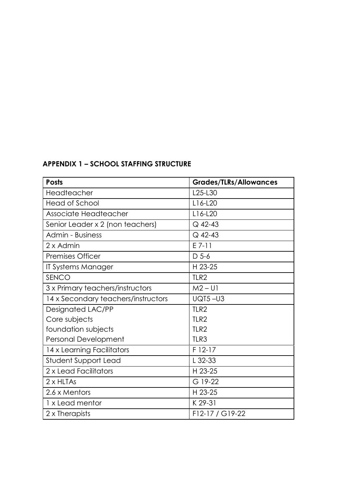## **APPENDIX 1 – SCHOOL STAFFING STRUCTURE**

| <b>Posts</b>                        | <b>Grades/TLRs/Allowances</b> |
|-------------------------------------|-------------------------------|
| Headteacher                         | L25-L30                       |
| <b>Head of School</b>               | L16-L20                       |
| Associate Headteacher               | L16-L20                       |
| Senior Leader x 2 (non teachers)    | Q 42-43                       |
| <b>Admin - Business</b>             | Q 42-43                       |
| 2 x Admin                           | $E$ 7-11                      |
| <b>Premises Officer</b>             | $D$ 5-6                       |
| IT Systems Manager                  | H 23-25                       |
| SENCO                               | TLR <sub>2</sub>              |
| 3 x Primary teachers/instructors    | $M2 - U1$                     |
| 14 x Secondary teachers/instructors | <b>UQT5-U3</b>                |
| Designated LAC/PP                   | TI R2                         |
| Core subjects                       | TLR <sub>2</sub>              |
| foundation subjects                 | TLR <sub>2</sub>              |
| Personal Development                | TLR3                          |
| 14 x Learning Facilitators          | $F12-17$                      |
| <b>Student Support Lead</b>         | $L$ 32-33                     |
| 2 x Lead Facilitators               | H 23-25                       |
| 2 x HLTAs                           | G 19-22                       |
| 2.6 x Mentors                       | H 23-25                       |
| 1 x Lead mentor                     | K 29-31                       |
| 2 x Therapists                      | F12-17 / G19-22               |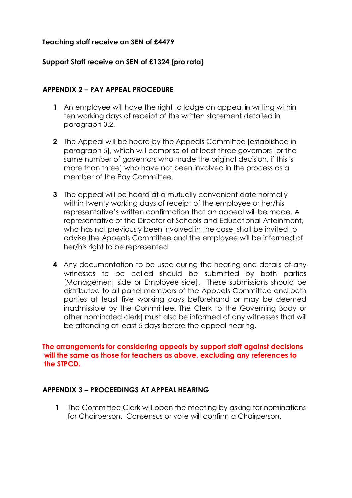#### **Teaching staff receive an SEN of £4479**

## **Support Staff receive an SEN of £1324 (pro rata)**

#### **APPENDIX 2 – PAY APPEAL PROCEDURE**

- **1** An employee will have the right to lodge an appeal in writing within ten working days of receipt of the written statement detailed in paragraph 3.2.
- **2** The Appeal will be heard by the Appeals Committee [established in paragraph 5], which will comprise of at least three governors [or the same number of governors who made the original decision, if this is more than three] who have not been involved in the process as a member of the Pay Committee.
- **3** The appeal will be heard at a mutually convenient date normally within twenty working days of receipt of the employee or her/his representative's written confirmation that an appeal will be made. A representative of the Director of Schools and Educational Attainment, who has not previously been involved in the case, shall be invited to advise the Appeals Committee and the employee will be informed of her/his right to be represented.
- **4** Any documentation to be used during the hearing and details of any witnesses to be called should be submitted by both parties [Management side or Employee side]. These submissions should be distributed to all panel members of the Appeals Committee and both parties at least five working days beforehand or may be deemed inadmissible by the Committee. The Clerk to the Governing Body or other nominated clerk] must also be informed of any witnesses that will be attending at least 5 days before the appeal hearing.

#### **The arrangements for considering appeals by support staff against decisions will the same as those for teachers as above, excluding any references to the STPCD.**

#### **APPENDIX 3 – PROCEEDINGS AT APPEAL HEARING**

**1** The Committee Clerk will open the meeting by asking for nominations for Chairperson. Consensus or vote will confirm a Chairperson.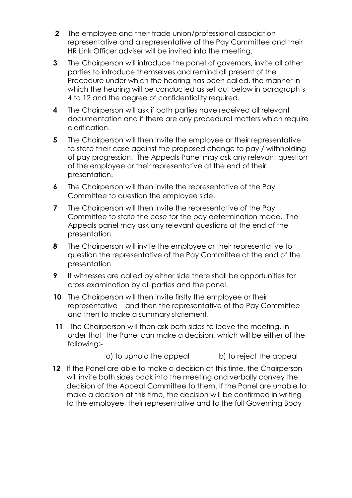- **2** The employee and their trade union/professional association representative and a representative of the Pay Committee and their HR Link Officer adviser will be invited into the meeting.
- **3** The Chairperson will introduce the panel of governors, invite all other parties to introduce themselves and remind all present of the Procedure under which the hearing has been called, the manner in which the hearing will be conducted as set out below in paragraph's 4 to 12 and the degree of confidentiality required.
- **4** The Chairperson will ask if both parties have received all relevant documentation and if there are any procedural matters which require clarification.
- **5** The Chairperson will then invite the employee or their representative to state their case against the proposed change to pay / withholding of pay progression. The Appeals Panel may ask any relevant question of the employee or their representative at the end of their presentation.
- **6** The Chairperson will then invite the representative of the Pay Committee to question the employee side.
- **7** The Chairperson will then invite the representative of the Pay Committee to state the case for the pay determination made. The Appeals panel may ask any relevant questions at the end of the presentation.
- **8** The Chairperson will invite the employee or their representative to question the representative of the Pay Committee at the end of the presentation.
- **9** If witnesses are called by either side there shall be opportunities for cross examination by all parties and the panel.
- **10** The Chairperson will then invite firstly the employee or their representative and then the representative of the Pay Committee and then to make a summary statement.
- **11** The Chairperson will then ask both sides to leave the meeting. In order that the Panel can make a decision, which will be either of the following:
	- a) to uphold the appeal b) to reject the appeal
- **12** If the Panel are able to make a decision at this time, the Chairperson will invite both sides back into the meeting and verbally convey the decision of the Appeal Committee to them. If the Panel are unable to make a decision at this time, the decision will be confirmed in writing to the employee, their representative and to the full Governing Body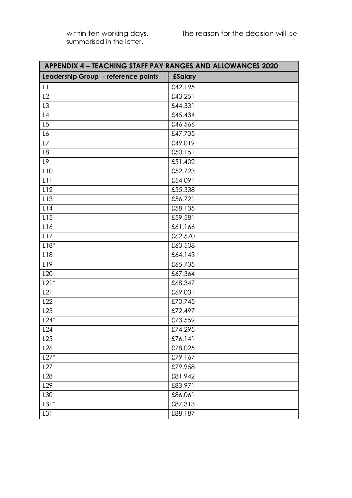| <b>APPENDIX 4 - TEACHING STAFF PAY RANGES AND ALLOWANCES 2020</b> |                |  |
|-------------------------------------------------------------------|----------------|--|
| Leadership Group - reference points                               | <b>£Salary</b> |  |
| L1                                                                | £42,195        |  |
| L2                                                                | £43,251        |  |
| L3                                                                | £44,331        |  |
| $\lfloor 4 \rfloor$                                               | £45,434        |  |
| L5                                                                | £46,566        |  |
| L6                                                                | £47,735        |  |
| L7                                                                | £49,019        |  |
| L8                                                                | £50,151        |  |
| L9                                                                | £51,402        |  |
| L10                                                               | £52,723        |  |
| L11                                                               | £54,091        |  |
| L12                                                               | £55,338        |  |
| L13                                                               | £56,721        |  |
| L14                                                               | £58,135        |  |
| L15                                                               | £59,581        |  |
| L16                                                               | £61,166        |  |
| L17                                                               | £62,570        |  |
| $L18*$                                                            | £63,508        |  |
| L18                                                               | £64,143        |  |
| L19                                                               | £65,735        |  |
| L <sub>20</sub>                                                   | £67,364        |  |
| $L21*$                                                            | £68,347        |  |
| L21                                                               | £69,031        |  |
| L22                                                               | £70,745        |  |
| L23                                                               | £72,497        |  |
| $L24*$                                                            | £73,559        |  |
| L24                                                               | £74,295        |  |
| L25                                                               | £76,141        |  |
| L26                                                               | £78,025        |  |
| $L27*$                                                            | £79,167        |  |
| L27                                                               | £79,958        |  |
| L28                                                               | £81,942        |  |
| L <sub>29</sub>                                                   | £83,971        |  |
| L30                                                               | £86,061        |  |
| $L31*$                                                            | £87,313        |  |
| L31                                                               | £88,187        |  |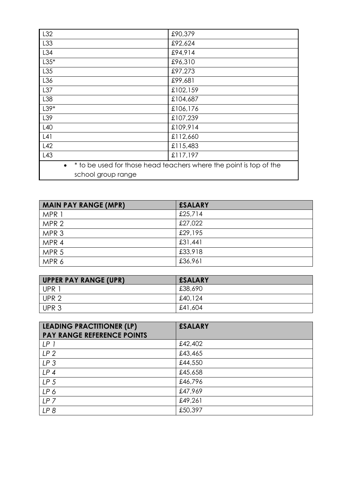| L32                | £90,379                                                            |  |
|--------------------|--------------------------------------------------------------------|--|
| L33                | £92,624                                                            |  |
| L34                | £94,914                                                            |  |
| $L35*$             | £96,310                                                            |  |
| L35                | £97,273                                                            |  |
| L36                | £99,681                                                            |  |
| L37                | £102,159                                                           |  |
| L38                | £104,687                                                           |  |
| $L39*$             | £106,176                                                           |  |
| L39                | £107,239                                                           |  |
| L40                | £109,914                                                           |  |
| L41                | £112,660                                                           |  |
| L42                | £115,483                                                           |  |
| L43                | £117,197                                                           |  |
|                    | * to be used for those head teachers where the point is top of the |  |
| school group range |                                                                    |  |

| <b>MAIN PAY RANGE (MPR)</b> | <b>£SALARY</b> |
|-----------------------------|----------------|
| MPR 1                       | £25,714        |
| MPR <sub>2</sub>            | £27,022        |
| MPR <sub>3</sub>            | £29,195        |
| MPR 4                       | £31,441        |
| MPR <sub>5</sub>            | £33,918        |
| MPR 6                       | £36,961        |

| <b>UPPER PAY RANGE (UPR)</b> | <b>ESALARY</b> |
|------------------------------|----------------|
| UPR                          | £38,690        |
| UPR <sub>2</sub>             | £40,124        |
| UPR <sub>3</sub>             | £41,604        |

| <b>LEADING PRACTITIONER (LP)</b><br><b>PAY RANGE REFERENCE POINTS</b> | <b>£SALARY</b> |
|-----------------------------------------------------------------------|----------------|
| LP <sub>1</sub>                                                       | £42,402        |
| LP <sub>2</sub>                                                       | £43,465        |
| LP <sub>3</sub>                                                       | £44,550        |
| LP <sub>4</sub>                                                       | £45,658        |
| LP <sub>5</sub>                                                       | £46,796        |
| LP6                                                                   | £47,969        |
| LP <sub>7</sub>                                                       | £49,261        |
| LP <sub>8</sub>                                                       | £50,397        |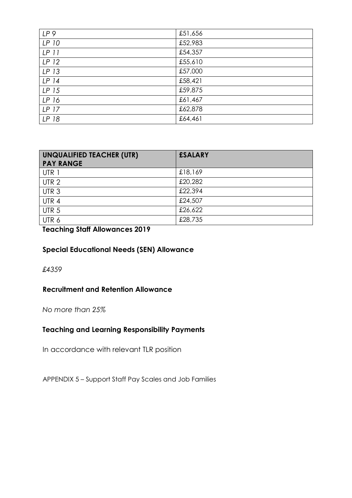| LP 9             | £51,656 |
|------------------|---------|
| LP 10            | £52,983 |
| $LP$ 11          | £54,357 |
| LP <sub>12</sub> | £55,610 |
| LP 13            | £57,000 |
| LP 14            | £58,421 |
| LP 15            | £59,875 |
| LP 16            | £61,467 |
| LP 17            | £62,878 |
| LP 18            | £64,461 |

| UNQUALIFIED TEACHER (UTR)<br><b>PAY RANGE</b> | <b>£SALARY</b> |
|-----------------------------------------------|----------------|
| UTR 1                                         | £18,169        |
| UTR <sub>2</sub>                              | £20,282        |
| UTR <sub>3</sub>                              | £22,394        |
| UTR 4                                         | £24,507        |
| UTR <sub>5</sub>                              | £26,622        |
| UTR 6                                         | £28,735        |

**Teaching Staff Allowances 2019**

## **Special Educational Needs (SEN) Allowance**

*£4359*

## **Recruitment and Retention Allowance**

*No more than 25%*

# **Teaching and Learning Responsibility Payments**

In accordance with relevant TLR position

APPENDIX 5 – Support Staff Pay Scales and Job Families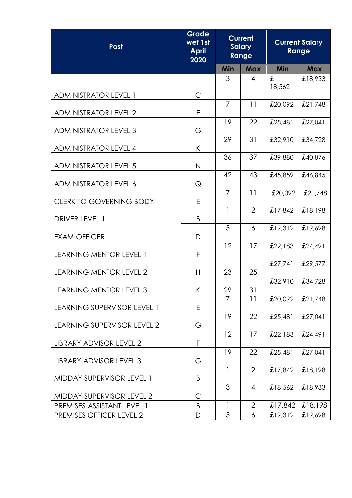| Post                            | <b>Grade</b><br>wef 1st<br><b>April</b><br>2020 | <b>Current</b><br><b>Salary</b><br>Range |                | <b>Current Salary</b><br>Range |            |
|---------------------------------|-------------------------------------------------|------------------------------------------|----------------|--------------------------------|------------|
|                                 |                                                 | Min                                      | <b>Max</b>     | Min                            | <b>Max</b> |
| <b>ADMINISTRATOR LEVEL 1</b>    | C                                               | 3                                        | $\overline{4}$ | £<br>18,562                    | £18,933    |
| <b>ADMINISTRATOR LEVEL 2</b>    | E                                               | $\overline{7}$                           | 11             | £20,092                        | £21,748    |
| <b>ADMINISTRATOR LEVEL 3</b>    | G                                               | 19                                       | 22             | £25,481                        | £27,041    |
| <b>ADMINISTRATOR LEVEL 4</b>    | K                                               | 29                                       | 31             | £32,910                        | £34,728    |
| <b>ADMINISTRATOR LEVEL 5</b>    | $\mathsf{N}$                                    | 36                                       | 37             | £39,880                        | £40,876    |
| <b>ADMINISTRATOR LEVEL 6</b>    | Q                                               | 42                                       | 43             | £45,859                        | £46,845    |
| <b>CLERK TO GOVERNING BODY</b>  | E                                               | $\overline{7}$                           | 11             | £20,092                        | £21,748    |
| DRIVER LEVEL 1                  | B                                               | 1                                        | $\overline{2}$ | £17,842                        | £18,198    |
| <b>EXAM OFFICER</b>             | D                                               | 5                                        | 6              | £19,312                        | £19,698    |
| LEARNING MENTOR LEVEL 1         | F                                               | 12                                       | 17             | £22,183                        | £24,491    |
| <b>LEARNING MENTOR LEVEL 2</b>  | H                                               | 23                                       | 25             | £27,741                        | £29,577    |
| <b>LEARNING MENTOR LEVEL 3</b>  | K                                               | 29                                       | 31             | £32,910                        | £34,728    |
| LEARNING SUPERVISOR LEVEL 1     | E                                               | 7                                        | 11             | £20,092                        | £21,748    |
| LEARNING SUPERVISOR LEVEL 2     | G                                               | 19                                       | 22             | £25,481                        | £27,041    |
| LIBRARY ADVISOR LEVEL 2         | F                                               | 12                                       | 17             | £22,183                        | £24,491    |
| LIBRARY ADVISOR LEVEL 3         | G                                               | 19                                       | 22             | £25,481                        | £27,041    |
| MIDDAY SUPERVISOR LEVEL 1       | B                                               | 1                                        | $\overline{2}$ | £17,842                        | £18,198    |
| MIDDAY SUPERVISOR LEVEL 2       | C                                               | 3                                        | $\overline{4}$ | £18,562                        | £18,933    |
| PREMISES ASSISTANT LEVEL 1      | B                                               | 1                                        | $\overline{2}$ | £17,842                        | £18,198    |
| <b>PREMISES OFFICER LEVEL 2</b> | D                                               | 5                                        | 6              | £19,312                        | £19,698    |